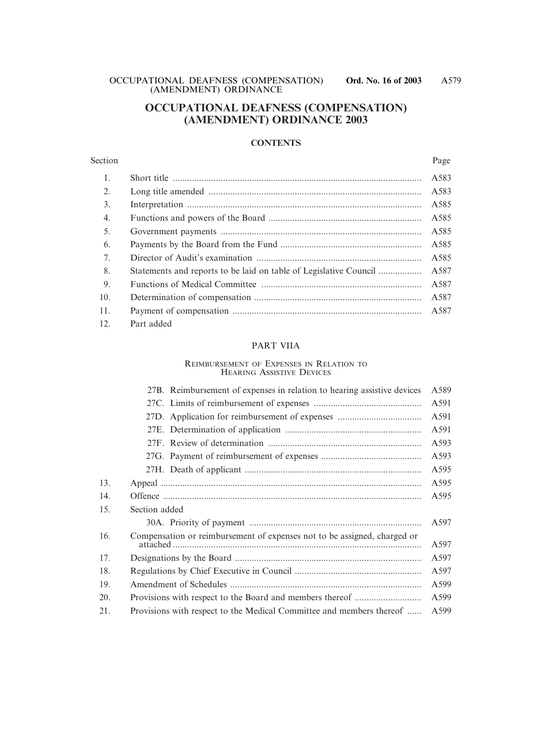# **OCCUPATIONAL DEAFNESS (COMPENSATION) (AMENDMENT) ORDINANCE 2003**

#### **CONTENTS**

#### Section Page

| 1.  |            | A583 |
|-----|------------|------|
| 2.  |            | A583 |
| 3.  |            | A585 |
| 4.  |            | A585 |
| 5.  |            | A585 |
| 6.  |            | A585 |
| 7.  |            | A585 |
| 8.  |            | A587 |
| 9.  |            | A587 |
| 10. |            | A587 |
| 11. |            | A587 |
| 12. | Part added |      |

#### PART VIIA

#### REIMBURSEMENT OF EXPENSES IN RELATION TO HEARING ASSISTIVE DEVICES

|     | 27B. Reimbursement of expenses in relation to hearing assistive devices  | A589 |  |  |  |  |
|-----|--------------------------------------------------------------------------|------|--|--|--|--|
|     |                                                                          | A591 |  |  |  |  |
|     |                                                                          | A591 |  |  |  |  |
|     |                                                                          | A591 |  |  |  |  |
|     |                                                                          | A593 |  |  |  |  |
|     |                                                                          | A593 |  |  |  |  |
|     |                                                                          | A595 |  |  |  |  |
| 13. |                                                                          |      |  |  |  |  |
| 14. |                                                                          | A595 |  |  |  |  |
| 15. | Section added                                                            |      |  |  |  |  |
|     |                                                                          | A597 |  |  |  |  |
| 16. | Compensation or reimbursement of expenses not to be assigned, charged or |      |  |  |  |  |
| 17. |                                                                          |      |  |  |  |  |
| 18. |                                                                          |      |  |  |  |  |
| 19. | A599                                                                     |      |  |  |  |  |
| 20. | A599                                                                     |      |  |  |  |  |
| 21. | Provisions with respect to the Medical Committee and members thereof     | A599 |  |  |  |  |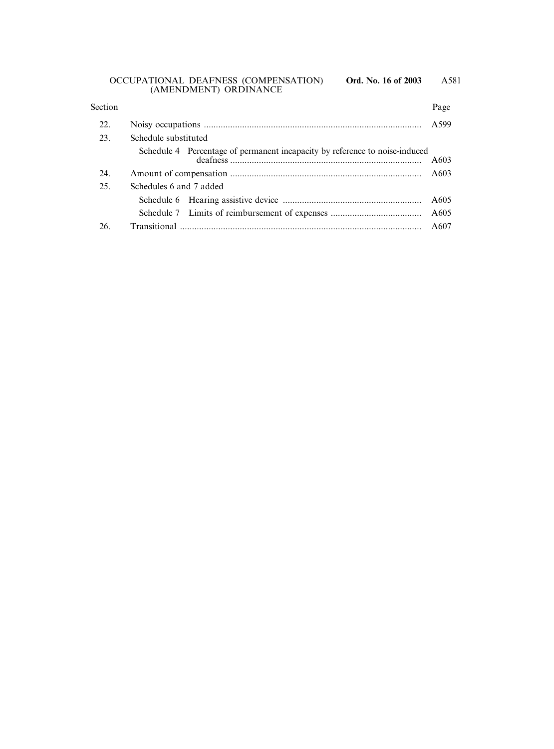#### OCCUPATIONAL DEAFNESS (COMPENSATION) **Ord. No. 16 of 2003** (AMENDMENT) ORDINANCE

| Section |                                                                             | Page             |  |  |  |  |
|---------|-----------------------------------------------------------------------------|------------------|--|--|--|--|
| 22.     | A599                                                                        |                  |  |  |  |  |
| 23.     | Schedule substituted                                                        |                  |  |  |  |  |
|         | Schedule 4 Percentage of permanent incapacity by reference to noise-induced | A603             |  |  |  |  |
| 24.     | A603                                                                        |                  |  |  |  |  |
| 25.     | Schedules 6 and 7 added                                                     |                  |  |  |  |  |
|         |                                                                             | A <sub>605</sub> |  |  |  |  |
|         |                                                                             | A605             |  |  |  |  |
| 26.     |                                                                             | A607             |  |  |  |  |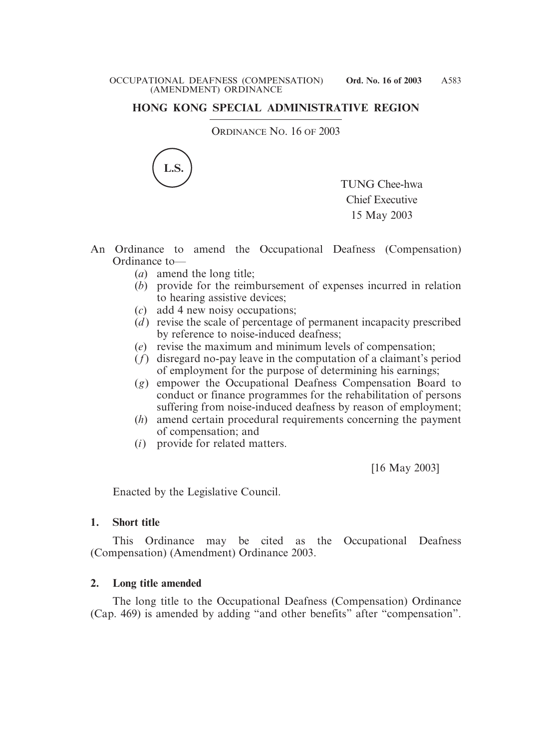# **HONG KONG SPECIAL ADMINISTRATIVE REGION**

ORDINANCE NO. 16 OF 2003



TUNG Chee-hwa Chief Executive 15 May 2003

- An Ordinance to amend the Occupational Deafness (Compensation) Ordinance to—
	- (*a*) amend the long title;
	- (*b*) provide for the reimbursement of expenses incurred in relation to hearing assistive devices;
	- (*c*) add 4 new noisy occupations;
	- (*d*) revise the scale of percentage of permanent incapacity prescribed by reference to noise-induced deafness;
	- (*e*) revise the maximum and minimum levels of compensation;
	- (*f*) disregard no-pay leave in the computation of a claimant's period of employment for the purpose of determining his earnings;
	- (*g*) empower the Occupational Deafness Compensation Board to conduct or finance programmes for the rehabilitation of persons suffering from noise-induced deafness by reason of employment;
	- (*h*) amend certain procedural requirements concerning the payment of compensation; and
	- (*i*) provide for related matters.

[16 May 2003]

Enacted by the Legislative Council.

## **1. Short title**

This Ordinance may be cited as the Occupational Deafness (Compensation) (Amendment) Ordinance 2003.

## **2. Long title amended**

The long title to the Occupational Deafness (Compensation) Ordinance (Cap. 469) is amended by adding "and other benefits" after "compensation".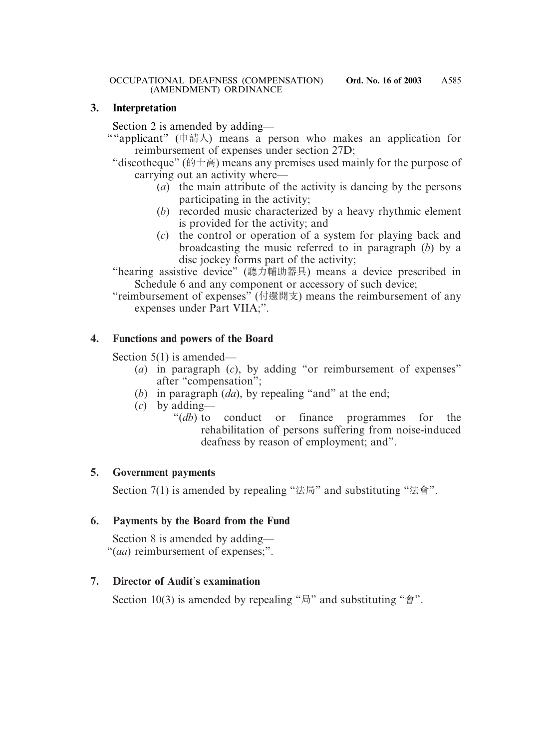## **3. Interpretation**

Section 2 is amended by adding—

- ""applicant" (申請人) means a person who makes an application for reimbursement of expenses under section 27D;
	- "discotheque" (的士高) means any premises used mainly for the purpose of carrying out an activity where—
		- (*a*) the main attribute of the activity is dancing by the persons participating in the activity;
		- (*b*) recorded music characterized by a heavy rhythmic element is provided for the activity; and
		- (*c*) the control or operation of a system for playing back and broadcasting the music referred to in paragraph (*b*) by a disc jockey forms part of the activity;

"hearing assistive device" (聽力輔助器具) means a device prescribed in Schedule 6 and any component or accessory of such device;

"reimbursement of expenses" (付還開支) means the reimbursement of any expenses under Part VIIA;".

# **4. Functions and powers of the Board**

Section 5(1) is amended—

- (*a*) in paragraph (*c*), by adding "or reimbursement of expenses" after "compensation";
- (*b*) in paragraph (*da*), by repealing "and" at the end;
- (*c*) by adding—
	- "(*db*) to conduct or finance programmes for the rehabilitation of persons suffering from noise-induced deafness by reason of employment; and".

# **5. Government payments**

Section 7(1) is amended by repealing "法局" and substituting "法會".

# **6. Payments by the Board from the Fund**

Section 8 is amended by adding— "(*aa*) reimbursement of expenses;".

# **7. Director of Audit**'**s examination**

Section 10(3) is amended by repealing "局" and substituting "會".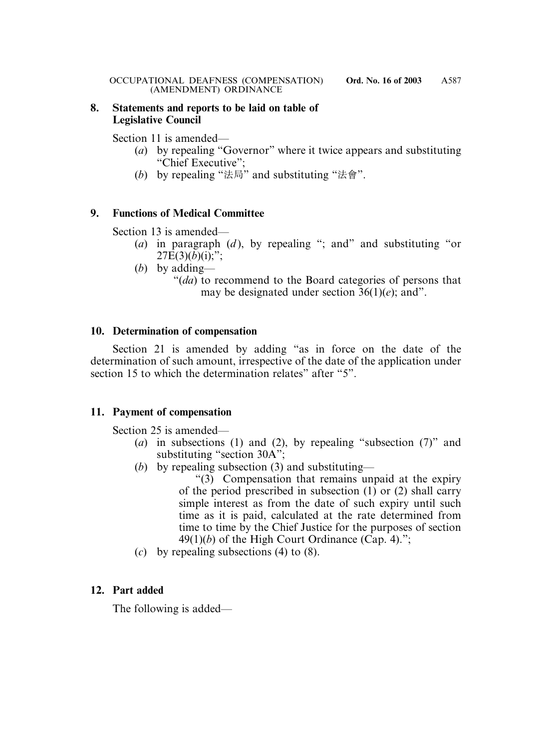## **8. Statements and reports to be laid on table of Legislative Council**

Section 11 is amended—

- (*a*) by repealing "Governor" where it twice appears and substituting "Chief Executive";
- (*b*) by repealing "法局" and substituting "法會".

# **9. Functions of Medical Committee**

Section 13 is amended—

- (*a*) in paragraph (*d* ), by repealing "; and" and substituting "or  $27E(3)(b)(i);$ ";
- (*b*) by adding—
	- "(*da*) to recommend to the Board categories of persons that may be designated under section 36(1)(*e*); and".

## **10. Determination of compensation**

Section 21 is amended by adding "as in force on the date of the determination of such amount, irrespective of the date of the application under section 15 to which the determination relates" after "5".

## **11. Payment of compensation**

Section 25 is amended—

- (*a*) in subsections (1) and (2), by repealing "subsection (7)" and substituting "section 30A";
- (*b*) by repealing subsection (3) and substituting—

"(3) Compensation that remains unpaid at the expiry of the period prescribed in subsection (1) or (2) shall carry simple interest as from the date of such expiry until such time as it is paid, calculated at the rate determined from time to time by the Chief Justice for the purposes of section  $49(1)(b)$  of the High Court Ordinance (Cap. 4).";

(*c*) by repealing subsections (4) to (8).

## **12. Part added**

The following is added—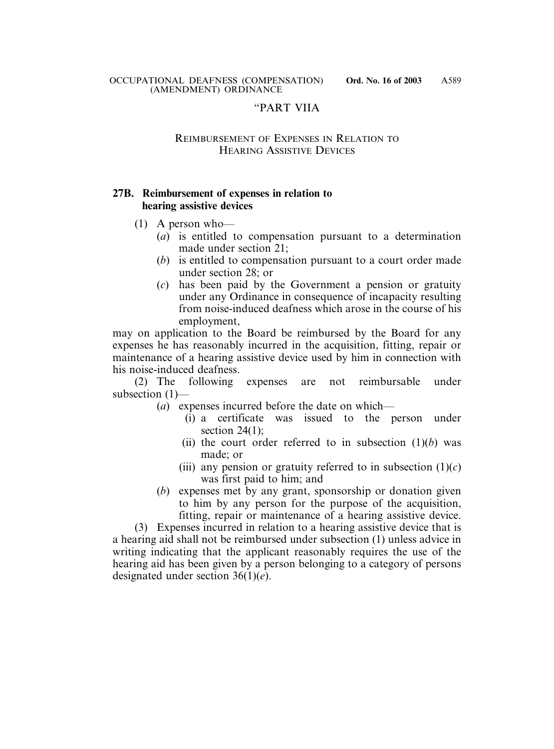## "PART VIIA

## REIMBURSEMENT OF EXPENSES IN RELATION TO HEARING ASSISTIVE DEVICES

### **27B. Reimbursement of expenses in relation to hearing assistive devices**

- (1) A person who—
	- (*a*) is entitled to compensation pursuant to a determination made under section 21;
	- (*b*) is entitled to compensation pursuant to a court order made under section 28; or
	- (*c*) has been paid by the Government a pension or gratuity under any Ordinance in consequence of incapacity resulting from noise-induced deafness which arose in the course of his employment,

may on application to the Board be reimbursed by the Board for any expenses he has reasonably incurred in the acquisition, fitting, repair or maintenance of a hearing assistive device used by him in connection with his noise-induced deafness.

(2) The following expenses are not reimbursable under subsection (1)—

- (*a*) expenses incurred before the date on which—
	- (i) a certificate was issued to the person under section  $24(1)$ ;
	- (ii) the court order referred to in subsection  $(1)(b)$  was made; or
	- (iii) any pension or gratuity referred to in subsection  $(1)(c)$ was first paid to him; and
- (*b*) expenses met by any grant, sponsorship or donation given to him by any person for the purpose of the acquisition, fitting, repair or maintenance of a hearing assistive device.

(3) Expenses incurred in relation to a hearing assistive device that is a hearing aid shall not be reimbursed under subsection (1) unless advice in writing indicating that the applicant reasonably requires the use of the hearing aid has been given by a person belonging to a category of persons designated under section 36(1)(*e*).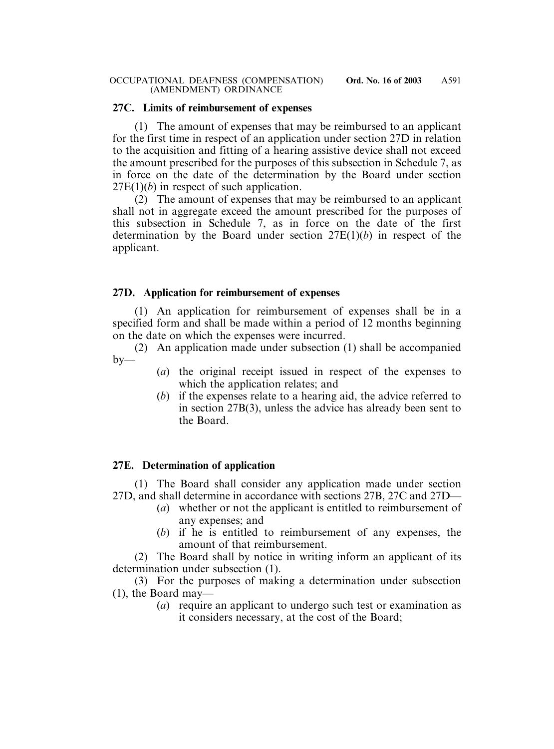#### **27C. Limits of reimbursement of expenses**

(1) The amount of expenses that may be reimbursed to an applicant for the first time in respect of an application under section 27D in relation to the acquisition and fitting of a hearing assistive device shall not exceed the amount prescribed for the purposes of this subsection in Schedule 7, as in force on the date of the determination by the Board under section 27E(1)(*b*) in respect of such application.

(2) The amount of expenses that may be reimbursed to an applicant shall not in aggregate exceed the amount prescribed for the purposes of this subsection in Schedule 7, as in force on the date of the first determination by the Board under section 27E(1)(*b*) in respect of the applicant.

## **27D. Application for reimbursement of expenses**

(1) An application for reimbursement of expenses shall be in a specified form and shall be made within a period of 12 months beginning on the date on which the expenses were incurred.

(2) An application made under subsection (1) shall be accompanied  $by-$ 

- (*a*) the original receipt issued in respect of the expenses to which the application relates; and
- (*b*) if the expenses relate to a hearing aid, the advice referred to in section 27B(3), unless the advice has already been sent to the Board.

## **27E. Determination of application**

(1) The Board shall consider any application made under section 27D, and shall determine in accordance with sections 27B, 27C and 27D—

- (*a*) whether or not the applicant is entitled to reimbursement of any expenses; and
- (*b*) if he is entitled to reimbursement of any expenses, the amount of that reimbursement.

(2) The Board shall by notice in writing inform an applicant of its determination under subsection (1).

(3) For the purposes of making a determination under subsection (1), the Board may—

> (*a*) require an applicant to undergo such test or examination as it considers necessary, at the cost of the Board;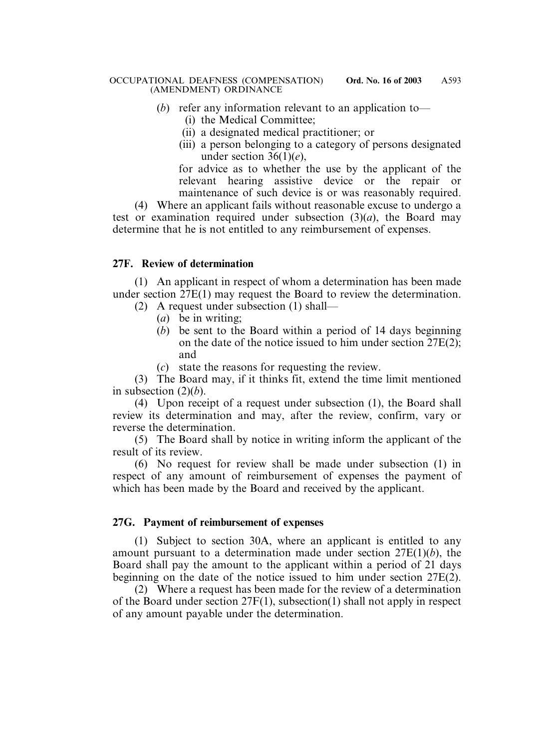- (*b*) refer any information relevant to an application to—
	- (i) the Medical Committee;
	- (ii) a designated medical practitioner; or
	- (iii) a person belonging to a category of persons designated under section 36(1)(*e*),

for advice as to whether the use by the applicant of the relevant hearing assistive device or the repair or maintenance of such device is or was reasonably required.

(4) Where an applicant fails without reasonable excuse to undergo a test or examination required under subsection  $(3)(a)$ , the Board may determine that he is not entitled to any reimbursement of expenses.

## **27F. Review of determination**

(1) An applicant in respect of whom a determination has been made under section 27E(1) may request the Board to review the determination.

- (2) A request under subsection (1) shall—
	- (*a*) be in writing;
	- (*b*) be sent to the Board within a period of 14 days beginning on the date of the notice issued to him under section 27E(2); and
	- (*c*) state the reasons for requesting the review.

(3) The Board may, if it thinks fit, extend the time limit mentioned in subsection  $(2)(b)$ .

(4) Upon receipt of a request under subsection (1), the Board shall review its determination and may, after the review, confirm, vary or reverse the determination.

(5) The Board shall by notice in writing inform the applicant of the result of its review.

(6) No request for review shall be made under subsection (1) in respect of any amount of reimbursement of expenses the payment of which has been made by the Board and received by the applicant.

## **27G. Payment of reimbursement of expenses**

(1) Subject to section 30A, where an applicant is entitled to any amount pursuant to a determination made under section 27E(1)(*b*), the Board shall pay the amount to the applicant within a period of 21 days beginning on the date of the notice issued to him under section 27E(2).

(2) Where a request has been made for the review of a determination of the Board under section 27F(1), subsection(1) shall not apply in respect of any amount payable under the determination.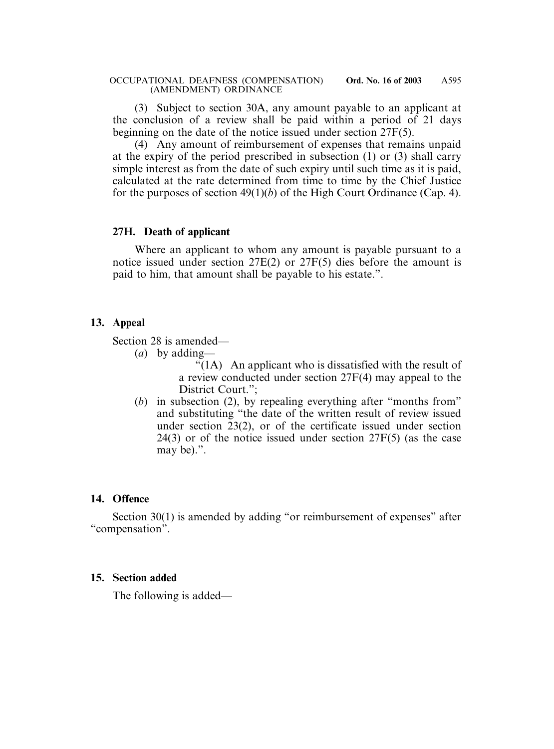(3) Subject to section 30A, any amount payable to an applicant at the conclusion of a review shall be paid within a period of 21 days beginning on the date of the notice issued under section 27F(5).

(4) Any amount of reimbursement of expenses that remains unpaid at the expiry of the period prescribed in subsection (1) or (3) shall carry simple interest as from the date of such expiry until such time as it is paid, calculated at the rate determined from time to time by the Chief Justice for the purposes of section  $49(1)(b)$  of the High Court Ordinance (Cap. 4).

#### **27H. Death of applicant**

Where an applicant to whom any amount is payable pursuant to a notice issued under section 27E(2) or 27F(5) dies before the amount is paid to him, that amount shall be payable to his estate.".

## **13. Appeal**

Section 28 is amended—

(*a*) by adding—

"(1A) An applicant who is dissatisfied with the result of a review conducted under section 27F(4) may appeal to the District Court.":

(*b*) in subsection (2), by repealing everything after "months from" and substituting "the date of the written result of review issued under section 23(2), or of the certificate issued under section 24(3) or of the notice issued under section 27F(5) (as the case may be).".

## **14. Offence**

Section 30(1) is amended by adding "or reimbursement of expenses" after "compensation".

# **15. Section added**

The following is added—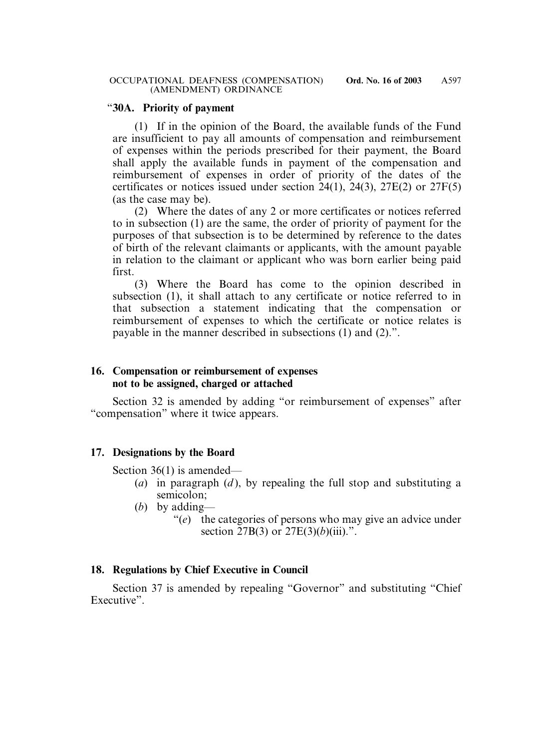### "**30A. Priority of payment**

(1) If in the opinion of the Board, the available funds of the Fund are insufficient to pay all amounts of compensation and reimbursement of expenses within the periods prescribed for their payment, the Board shall apply the available funds in payment of the compensation and reimbursement of expenses in order of priority of the dates of the certificates or notices issued under section 24(1), 24(3), 27E(2) or 27F(5) (as the case may be).

(2) Where the dates of any 2 or more certificates or notices referred to in subsection (1) are the same, the order of priority of payment for the purposes of that subsection is to be determined by reference to the dates of birth of the relevant claimants or applicants, with the amount payable in relation to the claimant or applicant who was born earlier being paid first.

(3) Where the Board has come to the opinion described in subsection (1), it shall attach to any certificate or notice referred to in that subsection a statement indicating that the compensation or reimbursement of expenses to which the certificate or notice relates is payable in the manner described in subsections (1) and (2).".

# **16. Compensation or reimbursement of expenses not to be assigned, charged or attached**

Section 32 is amended by adding "or reimbursement of expenses" after "compensation" where it twice appears.

# **17. Designations by the Board**

Section 36(1) is amended—

- (*a*) in paragraph (*d* ), by repealing the full stop and substituting a semicolon;
- (*b*) by adding—
	- "(*e*) the categories of persons who may give an advice under section 27B(3) or 27E(3)(*b*)(iii).".

# **18. Regulations by Chief Executive in Council**

Section 37 is amended by repealing "Governor" and substituting "Chief Executive".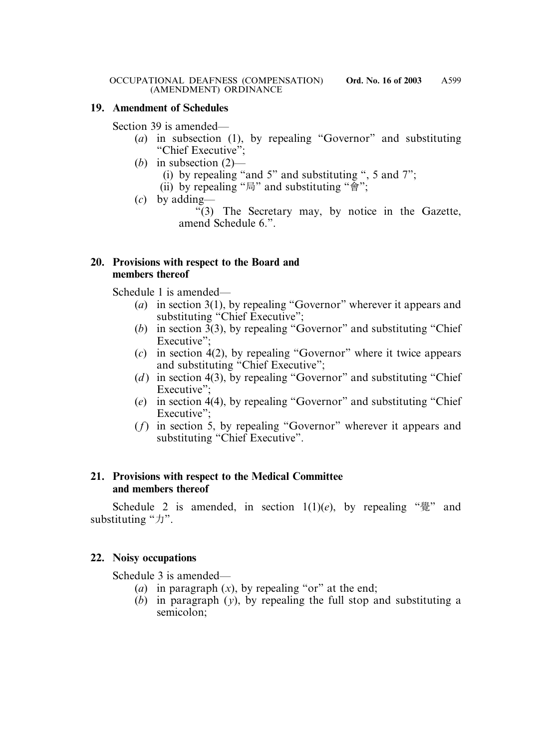## **19. Amendment of Schedules**

Section 39 is amended—

- (*a*) in subsection (1), by repealing "Governor" and substituting "Chief Executive";
- (*b*) in subsection (2)—
	- (i) by repealing "and  $5$ " and substituting ", 5 and  $7$ ";
	- (ii) by repealing "局" and substituting "會";
- (*c*) by adding—

 $\sqrt{3}$ ) The Secretary may, by notice in the Gazette, amend Schedule 6.".

# **20. Provisions with respect to the Board and members thereof**

Schedule 1 is amended—

- (*a*) in section 3(1), by repealing "Governor" wherever it appears and substituting "Chief Executive";
- (*b*) in section 3(3), by repealing "Governor" and substituting "Chief Executive":
- (*c*) in section 4(2), by repealing "Governor" where it twice appears and substituting "Chief Executive";
- (*d*) in section 4(3), by repealing "Governor" and substituting "Chief Executive":
- (*e*) in section 4(4), by repealing "Governor" and substituting "Chief Executive":
- (*f*) in section 5, by repealing "Governor" wherever it appears and substituting "Chief Executive".

## **21. Provisions with respect to the Medical Committee and members thereof**

Schedule 2 is amended, in section  $1(1)(e)$ , by repealing " $\frac{8}{3}$ " and substituting "力".

# **22. Noisy occupations**

Schedule 3 is amended—

- (*a*) in paragraph  $(x)$ , by repealing "or" at the end;
- (*b*) in paragraph (*y*), by repealing the full stop and substituting a semicolon;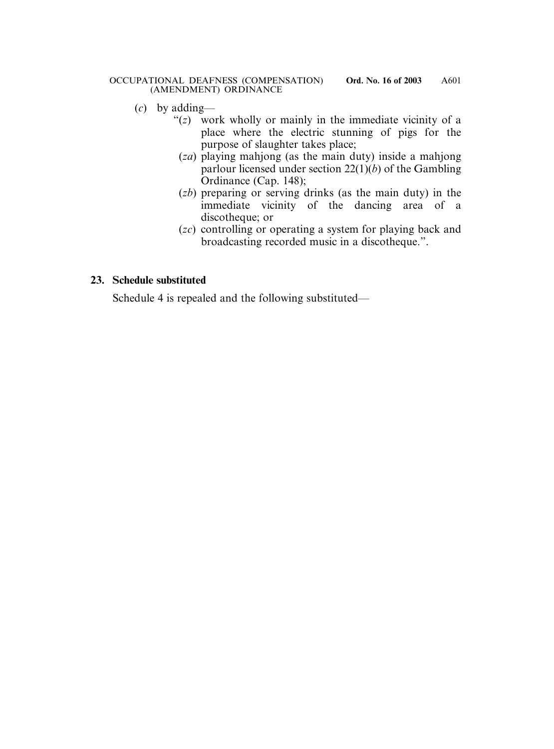- (*c*) by adding—
	- "(*z*) work wholly or mainly in the immediate vicinity of a place where the electric stunning of pigs for the purpose of slaughter takes place;
	- (*za*) playing mahjong (as the main duty) inside a mahjong parlour licensed under section 22(1)(*b*) of the Gambling Ordinance (Cap. 148);
	- (*zb*) preparing or serving drinks (as the main duty) in the immediate vicinity of the dancing area of a discotheque; or
	- (*zc*) controlling or operating a system for playing back and broadcasting recorded music in a discotheque.".

# **23. Schedule substituted**

Schedule 4 is repealed and the following substituted—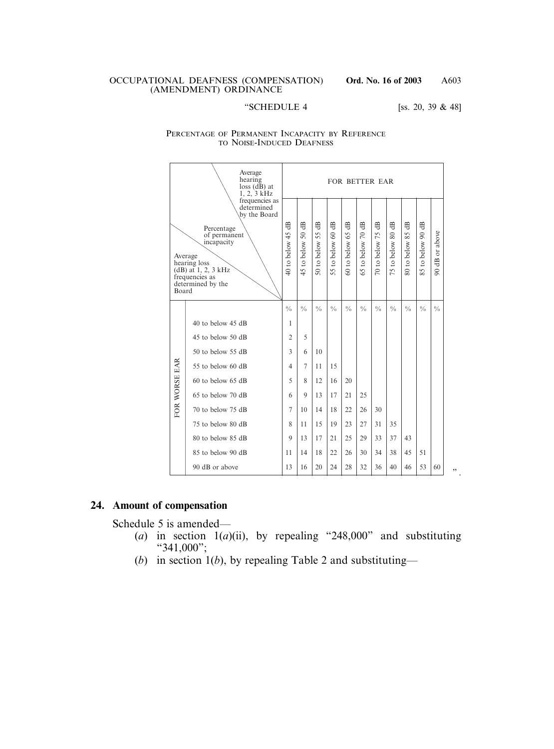#### "SCHEDULE 4 [ss. 20, 39 & 48]

| Average<br>hearing<br>$loss$ (d $\bar{B}$ ) at<br>$1, 2, 3$ kHz<br>frequencies as<br>determined<br>by the Board<br>Percentage<br>of permanent<br>incapacity<br>Average<br>hearing loss<br>(dB) at 1, 2, 3 kHz<br>frequencies as<br>determined by the<br><b>Board</b> |                       | <b>FOR BETTER EAR</b>                 |                                     |                                     |                            |                                      |                   |                                       |                   |                                      |                   |                               |
|----------------------------------------------------------------------------------------------------------------------------------------------------------------------------------------------------------------------------------------------------------------------|-----------------------|---------------------------------------|-------------------------------------|-------------------------------------|----------------------------|--------------------------------------|-------------------|---------------------------------------|-------------------|--------------------------------------|-------------------|-------------------------------|
|                                                                                                                                                                                                                                                                      |                       |                                       |                                     |                                     |                            |                                      |                   |                                       |                   |                                      |                   |                               |
|                                                                                                                                                                                                                                                                      |                       | $\overline{AB}$<br>$40$ to below $45$ | $\overline{a}$<br>50<br>45 to below | $\overline{a}$<br>55<br>50 to below | $\rm dB$<br>55 to below 60 | $\overline{a}$<br>$60$ to below $65$ | 65 to below 70 dB | $\overline{AB}$<br>$70$ to below $75$ | 75 to below 80 dB | $\overline{AB}$<br>85<br>80 to below | 85 to below 90 dB | dB or above<br>$\overline{6}$ |
|                                                                                                                                                                                                                                                                      |                       | $\frac{0}{0}$                         | $\frac{0}{0}$                       | $\frac{0}{0}$                       | $\frac{0}{0}$              | $\frac{0}{0}$                        | $\frac{0}{0}$     | $\frac{0}{0}$                         | $\frac{0}{0}$     | $\frac{0}{0}$                        | $\frac{0}{0}$     | $\frac{0}{0}$                 |
|                                                                                                                                                                                                                                                                      | 40 to below 45 dB     | 1                                     |                                     |                                     |                            |                                      |                   |                                       |                   |                                      |                   |                               |
|                                                                                                                                                                                                                                                                      | 45 to below 50 dB     | $\overline{2}$                        | 5                                   |                                     |                            |                                      |                   |                                       |                   |                                      |                   |                               |
|                                                                                                                                                                                                                                                                      | 50 to below 55 dB     | $\mathcal{E}$                         | 6                                   | 10                                  |                            |                                      |                   |                                       |                   |                                      |                   |                               |
| FOR WORSE EAR                                                                                                                                                                                                                                                        | 55 to below 60 dB     | 4                                     | $\overline{7}$                      | 11                                  | 15                         |                                      |                   |                                       |                   |                                      |                   |                               |
|                                                                                                                                                                                                                                                                      | $60$ to below $65$ dB | 5                                     | 8                                   | 12                                  | 16                         | 20                                   |                   |                                       |                   |                                      |                   |                               |
|                                                                                                                                                                                                                                                                      | 65 to below 70 dB     | 6                                     | 9                                   | 13                                  | 17                         | 21                                   | 25                |                                       |                   |                                      |                   |                               |
|                                                                                                                                                                                                                                                                      | 70 to below 75 dB     | 7                                     | 10                                  | 14                                  | 18                         | 22                                   | 26                | 30                                    |                   |                                      |                   |                               |
|                                                                                                                                                                                                                                                                      | 75 to below 80 dB     | 8                                     | 11                                  | 15                                  | 19                         | 23                                   | 27                | 31                                    | 35                |                                      |                   |                               |
|                                                                                                                                                                                                                                                                      | 80 to below 85 dB     | 9                                     | 13                                  | 17                                  | 21                         | 25                                   | 29                | 33                                    | 37                | 43                                   |                   |                               |
|                                                                                                                                                                                                                                                                      | 85 to below 90 dB     | 11                                    | 14                                  | 18                                  | 22                         | 26                                   | 30                | 34                                    | 38                | 45                                   | 51                |                               |
|                                                                                                                                                                                                                                                                      | 90 dB or above        | 13                                    | 16                                  | 20                                  | 24                         | 28                                   | 32                | 36                                    | 40                | 46                                   | 53                | 60                            |

#### PERCENTAGE OF PERMANENT INCAPACITY BY REFERENCE TO NOISE-INDUCED DEAFNESS

# **24. Amount of compensation**

Schedule 5 is amended—

- (*a*) in section 1(*a*)(ii), by repealing "248,000" and substituting "341,000":
- (*b*) in section 1(*b*), by repealing Table 2 and substituting—

A603

 $"$  .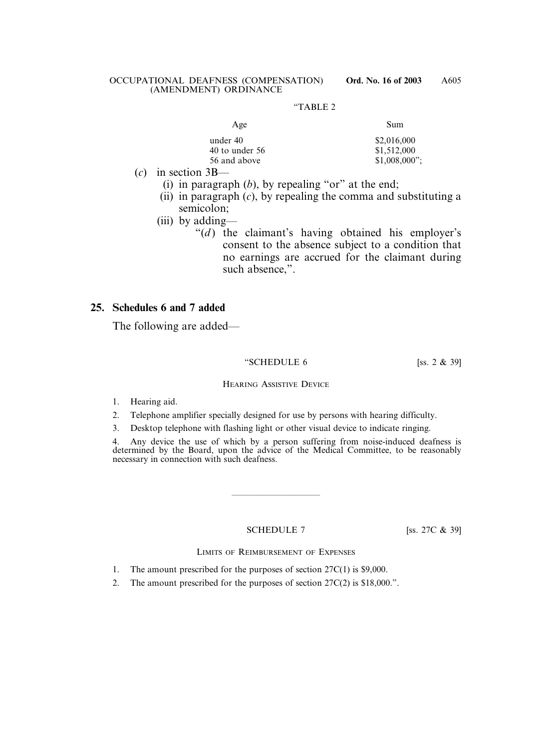#### "TABLE 2

| Age                | Sum             |  |  |  |  |
|--------------------|-----------------|--|--|--|--|
| under 40           | \$2,016,000     |  |  |  |  |
| $40$ to under $56$ | \$1,512,000     |  |  |  |  |
| 56 and above       | $$1,008,000$ "; |  |  |  |  |
|                    |                 |  |  |  |  |

- (*c*) in section 3B—
	- (i) in paragraph  $(b)$ , by repealing "or" at the end;
	- (ii) in paragraph (*c*), by repealing the comma and substituting a semicolon;
	- (iii) by adding—
		- " $(d)$  the claimant's having obtained his employer's consent to the absence subject to a condition that no earnings are accrued for the claimant during such absence,".

#### **25. Schedules 6 and 7 added**

The following are added—

#### "SCHEDULE  $6$  [ss. 2 & 39]

#### HEARING ASSISTIVE DEVICE

- 1. Hearing aid.
- 2. Telephone amplifier specially designed for use by persons with hearing difficulty.
- 3. Desktop telephone with flashing light or other visual device to indicate ringing.

4. Any device the use of which by a person suffering from noise-induced deafness is determined by the Board, upon the advice of the Medical Committee, to be reasonably necessary in connection with such deafness.

#### SCHEDULE 7 [SS. 27C & 39]

——————————

#### LIMITS OF REIMBURSEMENT OF EXPENSES

- 1. The amount prescribed for the purposes of section 27C(1) is \$9,000.
- 2. The amount prescribed for the purposes of section 27C(2) is \$18,000.".